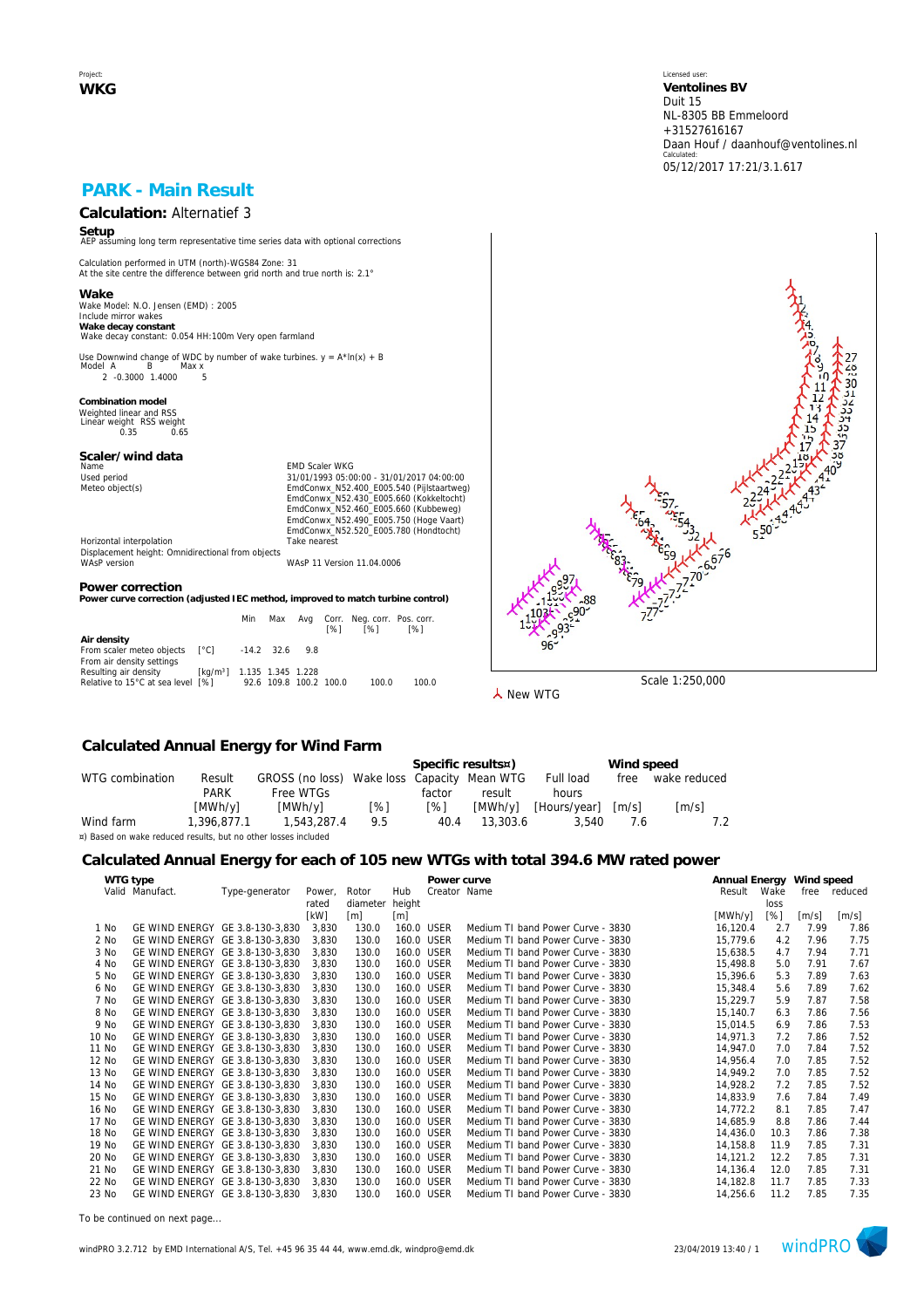Project: **WKG** Licensed user: **Ventolines BV**  Duit 15 NL-8305 BB Emmeloord +31527616167 Daan Houf / daanhouf@ventolines.nl Calculated: 05/12/2017 17:21/3.1.617

### **PARK - Main Result**

# **Calculation:** Alternatief 3

**Setup** AEP assuming long term representative time series data with optional corrections

Calculation performed in UTM (north)-WGS84 Zone: 31 At the site centre the difference between grid north and true north is: 2.1°

**Wake** Wake Model: N.O. Jensen (EMD) : 2005 Include mirror wakes **Wake decay constant** Wake decay constant: 0.054 HH:100m Very open farmland

Use Downwind change of WDC by number of wake turbines.  $y = A^* \ln(x) + B$ <br>Model A B Max x нег д. — Б. — тиах х.<br>2. -0.3000. 1.4000. — 5.

**Combination model** Weighted linear and RSS Linear weight RSS weight 0.35 0.65

## **Scaler/wind data**

Name Content of Maria Content of Maria Content of Maria Content of Maria Content of Maria Content of Maria Content Content of Maria Content Content Of Maria Content Content Of Maria Content Content Of Maria Content Content Used period<br>
Meteo object(s)<br>
Meteo object(s)<br>
EmdConwx\_N52.400\_E005.540 (Pijlstaartweg)<br>
EmdConwx\_N52.400\_E005.660 (Kukbelweg)<br>
EmdConwx\_N52.460\_E005.660 (Kukbelweg)<br>
EmdConwx\_N52.490\_E005.750 (Hoge Vaart) EmdConwx\_N52.520\_E005.780 (Hondtocht) Horizontal interpolation Take nearest

Displacement height: Omnidirectional from objects WAsP version WAsP 11 Version 11.04.0006

#### **Power correction**

**Power curve correction (adjusted IEC method, improved to match turbine control)**

|                                                                            |                                        | Min                    | Max              | [%] | Avg Corr. Neg.corr. Pos.corr.<br>[%] | [%]   |
|----------------------------------------------------------------------------|----------------------------------------|------------------------|------------------|-----|--------------------------------------|-------|
| Air density<br>From scaler meteo objects [°C]<br>From air density settings |                                        |                        | $-14.2$ 32.6 9.8 |     |                                      |       |
| Resulting air density<br>Relative to 15°C at sea level [%]                 | [kg/m <sup>3</sup> ] 1.135 1.345 1.228 | 92.6 109.8 100.2 100.0 |                  |     | 100.0                                | 100.0 |



**人** New WTG

### **Calculated Annual Energy for Wind Farm**

|                                                                |             |                                             |     |        | Specific results¤) | Wind speed   |                     |                     |  |  |  |
|----------------------------------------------------------------|-------------|---------------------------------------------|-----|--------|--------------------|--------------|---------------------|---------------------|--|--|--|
| WTG combination                                                | Result      | GROSS (no loss) Wake loss Capacity Mean WTG |     |        |                    | Full load    | free                | wake reduced        |  |  |  |
|                                                                | <b>PARK</b> | Free WTGs                                   |     | factor | result             | hours        |                     |                     |  |  |  |
|                                                                | [MWh/y]     | [MWh/v]                                     | [%] | [%]    | [MWh/v]            | [Hours/year] | $\lceil m/s \rceil$ | $\lceil m/s \rceil$ |  |  |  |
| Wind farm                                                      | 1.396.877.1 | 1,543,287.4                                 | 9.5 | 40.4   | 13,303.6           | 3.540        | 7.6                 |                     |  |  |  |
| ¤) Based on wake reduced results, but no other losses included |             |                                             |     |        |                    |              |                     |                     |  |  |  |

#### **Calculated Annual Energy for each of 105 new WTGs with total 394.6 MW rated power**

|       | WTG type                        |                |        |          |            | Power curve  |                                   | Annual Energy Wind speed |      |       |         |
|-------|---------------------------------|----------------|--------|----------|------------|--------------|-----------------------------------|--------------------------|------|-------|---------|
|       | Valid Manufact.                 | Type-generator | Power, | Rotor    | Hub        | Creator Name |                                   | Result                   | Wake | free  | reduced |
|       |                                 |                | rated  | diameter | height     |              |                                   |                          | loss |       |         |
|       |                                 |                | [kW]   | [m]      | [m]        |              |                                   | [MWh/y]                  | [%]  | [m/s] | [m/s]   |
| 1 No  | GE WIND ENERGY GE 3.8-130-3,830 |                | 3,830  | 130.0    | 160.0 USER |              | Medium TI band Power Curve - 3830 | 16,120.4                 | 2.7  | 7.99  | 7.86    |
| 2 No  | GE WIND ENERGY GE 3.8-130-3.830 |                | 3.830  | 130.0    | 160.0 USER |              | Medium TI band Power Curve - 3830 | 15.779.6                 | 4.2  | 7.96  | 7.75    |
| 3 No  | GE WIND ENERGY GE 3.8-130-3,830 |                | 3,830  | 130.0    | 160.0 USER |              | Medium TI band Power Curve - 3830 | 15,638.5                 | 4.7  | 7.94  | 7.71    |
| 4 No  | GE WIND ENERGY GE 3.8-130-3,830 |                | 3,830  | 130.0    | 160.0 USER |              | Medium TI band Power Curve - 3830 | 15,498.8                 | 5.0  | 7.91  | 7.67    |
| 5 No  | GE WIND ENERGY GE 3.8-130-3.830 |                | 3.830  | 130.0    | 160.0 USER |              | Medium TI band Power Curve - 3830 | 15.396.6                 | 5.3  | 7.89  | 7.63    |
| 6 No  | GE WIND ENERGY GE 3.8-130-3.830 |                | 3,830  | 130.0    | 160.0 USER |              | Medium TI band Power Curve - 3830 | 15,348.4                 | 5.6  | 7.89  | 7.62    |
| 7 No  | GE WIND ENERGY GE 3.8-130-3,830 |                | 3,830  | 130.0    | 160.0 USER |              | Medium TI band Power Curve - 3830 | 15,229.7                 | 5.9  | 7.87  | 7.58    |
| 8 No  | GE WIND ENERGY GE 3.8-130-3.830 |                | 3.830  | 130.0    | 160.0 USER |              | Medium TI band Power Curve - 3830 | 15,140.7                 | 6.3  | 7.86  | 7.56    |
| 9 No  | GE WIND ENERGY GE 3.8-130-3.830 |                | 3.830  | 130.0    | 160.0 USER |              | Medium TI band Power Curve - 3830 | 15.014.5                 | 6.9  | 7.86  | 7.53    |
| 10 No | GE WIND ENERGY GE 3.8-130-3,830 |                | 3,830  | 130.0    | 160.0 USER |              | Medium TI band Power Curve - 3830 | 14,971.3                 | 7.2  | 7.86  | 7.52    |
| 11 No | GE WIND ENERGY GE 3.8-130-3.830 |                | 3.830  | 130.0    | 160.0 USER |              | Medium TI band Power Curve - 3830 | 14.947.0                 | 7.0  | 7.84  | 7.52    |
| 12 No | GE WIND ENERGY GE 3.8-130-3,830 |                | 3,830  | 130.0    | 160.0 USER |              | Medium TI band Power Curve - 3830 | 14,956.4                 | 7.0  | 7.85  | 7.52    |
| 13 No | GE WIND ENERGY GE 3.8-130-3.830 |                | 3,830  | 130.0    | 160.0 USER |              | Medium TI band Power Curve - 3830 | 14.949.2                 | 7.0  | 7.85  | 7.52    |
| 14 No | GE WIND ENERGY GE 3.8-130-3,830 |                | 3,830  | 130.0    | 160.0 USER |              | Medium TI band Power Curve - 3830 | 14,928.2                 | 7.2  | 7.85  | 7.52    |
| 15 No | GE WIND ENERGY GE 3.8-130-3,830 |                | 3,830  | 130.0    | 160.0 USER |              | Medium TI band Power Curve - 3830 | 14.833.9                 | 7.6  | 7.84  | 7.49    |
| 16 No | GE WIND ENERGY GE 3.8-130-3,830 |                | 3,830  | 130.0    | 160.0 USER |              | Medium TI band Power Curve - 3830 | 14,772.2                 | 8.1  | 7.85  | 7.47    |
| 17 No | GE WIND ENERGY GE 3.8-130-3.830 |                | 3,830  | 130.0    | 160.0 USER |              | Medium TI band Power Curve - 3830 | 14,685.9                 | 8.8  | 7.86  | 7.44    |
| 18 No | GE WIND ENERGY GE 3.8-130-3,830 |                | 3,830  | 130.0    | 160.0 USER |              | Medium TI band Power Curve - 3830 | 14,436.0                 | 10.3 | 7.86  | 7.38    |
| 19 No | GE WIND ENERGY GE 3.8-130-3,830 |                | 3,830  | 130.0    | 160.0 USER |              | Medium TI band Power Curve - 3830 | 14,158.8                 | 11.9 | 7.85  | 7.31    |
| 20 No | GE WIND ENERGY GE 3.8-130-3,830 |                | 3,830  | 130.0    | 160.0 USER |              | Medium TI band Power Curve - 3830 | 14,121.2                 | 12.2 | 7.85  | 7.31    |
| 21 No | GE WIND ENERGY GE 3.8-130-3.830 |                | 3,830  | 130.0    | 160.0 USER |              | Medium TI band Power Curve - 3830 | 14,136.4                 | 12.0 | 7.85  | 7.31    |
| 22 No | GE WIND ENERGY GE 3.8-130-3,830 |                | 3,830  | 130.0    | 160.0 USER |              | Medium TI band Power Curve - 3830 | 14.182.8                 | 11.7 | 7.85  | 7.33    |
| 23 No | GE WIND ENERGY GE 3.8-130-3,830 |                | 3.830  | 130.0    | 160.0 USER |              | Medium TI band Power Curve - 3830 | 14,256.6                 | 11.2 | 7.85  | 7.35    |
|       |                                 |                |        |          |            |              |                                   |                          |      |       |         |

*To be continued on next page...*

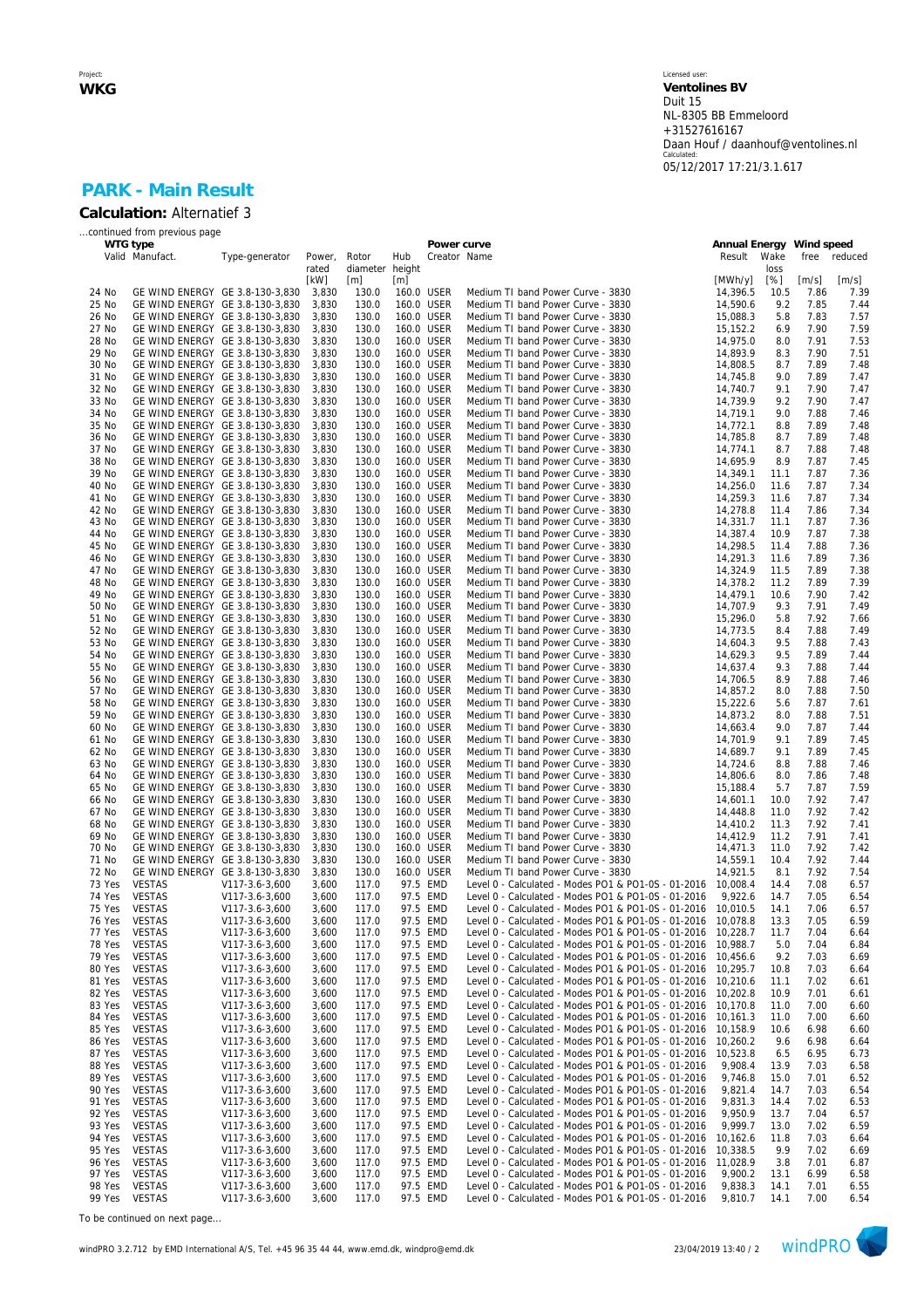#### Licensed user: **Ventolines BV**  Duit 15 NL-8305 BB Emmeloord +31527616167 Daan Houf / daanhouf@ventolines.nl Calculated: 05/12/2017 17:21/3.1.617

### **PARK - Main Result Calculation:** Alternatief 3

|               | continued from previous page    |                |        |                 |     |              |                                                              |                          |            |       |              |
|---------------|---------------------------------|----------------|--------|-----------------|-----|--------------|--------------------------------------------------------------|--------------------------|------------|-------|--------------|
|               | WTG type                        |                |        |                 |     | Power curve  |                                                              | Annual Energy Wind speed |            |       |              |
|               | Valid Manufact.                 | Type-generator | Power, | Rotor           | Hub | Creator Name |                                                              | Result                   | Wake       | free  | reduced      |
|               |                                 |                | rated  | diameter height |     |              |                                                              |                          | loss       |       |              |
|               |                                 |                | [kW]   | [m]             | [m] |              |                                                              | [MWh/y]                  | [%]        | [m/s] | [m/s]        |
| 24 No         | GE WIND ENERGY GE 3.8-130-3,830 |                | 3,830  | 130.0           |     | 160.0 USER   | Medium TI band Power Curve - 3830                            | 14,396.5                 | 10.5       | 7.86  | 7.39         |
| 25 No         | GE WIND ENERGY GE 3.8-130-3,830 |                | 3,830  | 130.0           |     | 160.0 USER   | Medium TI band Power Curve - 3830                            | 14,590.6                 | 9.2        | 7.85  | 7.44         |
| 26 No         | GE WIND ENERGY GE 3.8-130-3,830 |                | 3,830  | 130.0           |     | 160.0 USER   | Medium TI band Power Curve - 3830                            | 15,088.3                 | 5.8        | 7.83  | 7.57         |
| 27 No         | GE WIND ENERGY GE 3.8-130-3,830 |                | 3,830  | 130.0           |     | 160.0 USER   | Medium TI band Power Curve - 3830                            | 15,152.2                 | 6.9        | 7.90  | 7.59         |
| 28 No         | GE WIND ENERGY GE 3.8-130-3,830 |                | 3,830  | 130.0           |     | 160.0 USER   | Medium TI band Power Curve - 3830                            | 14,975.0                 | 8.0        | 7.91  | 7.53         |
| 29 No         | GE WIND ENERGY GE 3.8-130-3,830 |                | 3,830  | 130.0           |     | 160.0 USER   | Medium TI band Power Curve - 3830                            | 14,893.9                 | 8.3        | 7.90  | 7.51         |
| 30 No         | GE WIND ENERGY GE 3.8-130-3,830 |                | 3,830  | 130.0           |     | 160.0 USER   | Medium TI band Power Curve - 3830                            | 14,808.5                 | 8.7        | 7.89  | 7.48         |
| 31 No         | GE WIND ENERGY GE 3.8-130-3,830 |                | 3,830  | 130.0           |     | 160.0 USER   | Medium TI band Power Curve - 3830                            | 14,745.8                 | 9.0        | 7.89  | 7.47         |
| 32 No         | GE WIND ENERGY GE 3.8-130-3,830 |                | 3,830  | 130.0           |     | 160.0 USER   | Medium TI band Power Curve - 3830                            | 14,740.7                 | 9.1        | 7.90  | 7.47         |
| 33 No         | GE WIND ENERGY GE 3.8-130-3,830 |                | 3,830  | 130.0           |     | 160.0 USER   | Medium TI band Power Curve - 3830                            | 14,739.9                 | 9.2        | 7.90  | 7.47         |
| 34 No         | GE WIND ENERGY GE 3.8-130-3,830 |                | 3,830  | 130.0           |     | 160.0 USER   | Medium TI band Power Curve - 3830                            | 14,719.1                 | 9.0        | 7.88  | 7.46         |
| 35 No         | GE WIND ENERGY GE 3.8-130-3,830 |                | 3,830  | 130.0           |     | 160.0 USER   | Medium TI band Power Curve - 3830                            | 14,772.1                 | 8.8        | 7.89  | 7.48         |
| 36 No         | GE WIND ENERGY GE 3.8-130-3,830 |                | 3,830  | 130.0           |     | 160.0 USER   | Medium TI band Power Curve - 3830                            | 14,785.8                 | 8.7        | 7.89  | 7.48         |
| 37 No         | GE WIND ENERGY GE 3.8-130-3,830 |                | 3,830  | 130.0           |     | 160.0 USER   | Medium TI band Power Curve - 3830                            | 14,774.1                 | 8.7        | 7.88  | 7.48         |
| 38 No         | GE WIND ENERGY GE 3.8-130-3,830 |                | 3,830  | 130.0           |     | 160.0 USER   | Medium TI band Power Curve - 3830                            | 14,695.9                 | 8.9        | 7.87  | 7.45         |
| 39 No         | GE WIND ENERGY GE 3.8-130-3,830 |                | 3,830  | 130.0           |     | 160.0 USER   | Medium TI band Power Curve - 3830                            | 14,349.1                 | 11.1       | 7.87  | 7.36         |
| 40 No         | GE WIND ENERGY GE 3.8-130-3,830 |                | 3,830  | 130.0           |     | 160.0 USER   | Medium TI band Power Curve - 3830                            | 14,256.0                 | 11.6       | 7.87  | 7.34         |
| 41 No         | GE WIND ENERGY GE 3.8-130-3,830 |                | 3,830  | 130.0           |     | 160.0 USER   | Medium TI band Power Curve - 3830                            | 14,259.3                 | 11.6       | 7.87  | 7.34         |
| 42 No         | GE WIND ENERGY GE 3.8-130-3,830 |                | 3,830  | 130.0           |     | 160.0 USER   | Medium TI band Power Curve - 3830                            | 14,278.8                 | 11.4       | 7.86  | 7.34         |
| 43 No         | GE WIND ENERGY GE 3.8-130-3,830 |                | 3,830  | 130.0           |     | 160.0 USER   | Medium TI band Power Curve - 3830                            | 14,331.7                 | 11.1       | 7.87  | 7.36         |
| 44 No         | GE WIND ENERGY GE 3.8-130-3.830 |                | 3,830  | 130.0           |     | 160.0 USER   | Medium TI band Power Curve - 3830                            | 14,387.4                 | 10.9       | 7.87  | 7.38         |
| 45 No         | GE WIND ENERGY GE 3.8-130-3,830 |                | 3,830  | 130.0           |     | 160.0 USER   | Medium TI band Power Curve - 3830                            | 14,298.5                 | 11.4       | 7.88  | 7.36         |
| 46 No         | GE WIND ENERGY GE 3.8-130-3,830 |                | 3,830  | 130.0           |     | 160.0 USER   | Medium TI band Power Curve - 3830                            | 14,291.3                 | 11.6       | 7.89  | 7.36         |
| 47 No         | GE WIND ENERGY GE 3.8-130-3,830 |                | 3,830  | 130.0           |     | 160.0 USER   | Medium TI band Power Curve - 3830                            | 14,324.9                 | 11.5       | 7.89  | 7.38         |
| 48 No         | GE WIND ENERGY GE 3.8-130-3,830 |                | 3,830  | 130.0           |     | 160.0 USER   | Medium TI band Power Curve - 3830                            | 14,378.2                 | 11.2       | 7.89  | 7.39         |
| 49 No         | GE WIND ENERGY GE 3.8-130-3,830 |                | 3,830  | 130.0           |     | 160.0 USER   | Medium TI band Power Curve - 3830                            | 14,479.1                 | 10.6       | 7.90  | 7.42         |
| 50 No         | GE WIND ENERGY GE 3.8-130-3,830 |                | 3,830  | 130.0           |     | 160.0 USER   | Medium TI band Power Curve - 3830                            | 14,707.9                 | 9.3        | 7.91  | 7.49         |
| 51 No         | GE WIND ENERGY GE 3.8-130-3,830 |                |        | 130.0           |     | 160.0 USER   | Medium TI band Power Curve - 3830                            | 15.296.0                 |            | 7.92  |              |
| 52 No         | GE WIND ENERGY GE 3.8-130-3,830 |                | 3,830  |                 |     | 160.0 USER   |                                                              | 14.773.5                 | 5.8<br>8.4 | 7.88  | 7.66<br>7.49 |
| 53 No         |                                 |                | 3,830  | 130.0           |     |              | Medium TI band Power Curve - 3830                            |                          |            | 7.88  |              |
|               | GE WIND ENERGY GE 3.8-130-3,830 |                | 3,830  | 130.0           |     | 160.0 USER   | Medium TI band Power Curve - 3830                            | 14,604.3                 | 9.5        |       | 7.43         |
| 54 No         | GE WIND ENERGY GE 3.8-130-3,830 |                | 3,830  | 130.0           |     | 160.0 USER   | Medium TI band Power Curve - 3830                            | 14,629.3                 | 9.5        | 7.89  | 7.44         |
| 55 No         | GE WIND ENERGY GE 3.8-130-3,830 |                | 3,830  | 130.0           |     | 160.0 USER   | Medium TI band Power Curve - 3830                            | 14.637.4                 | 9.3        | 7.88  | 7.44         |
| 56 No         | GE WIND ENERGY GE 3.8-130-3,830 |                | 3,830  | 130.0           |     | 160.0 USER   | Medium TI band Power Curve - 3830                            | 14,706.5                 | 8.9        | 7.88  | 7.46         |
| 57 No         | GE WIND ENERGY GE 3.8-130-3,830 |                | 3,830  | 130.0           |     | 160.0 USER   | Medium TI band Power Curve - 3830                            | 14,857.2                 | 8.0        | 7.88  | 7.50         |
| 58 No         | GE WIND ENERGY GE 3.8-130-3,830 |                | 3,830  | 130.0           |     | 160.0 USER   | Medium TI band Power Curve - 3830                            | 15,222.6                 | 5.6        | 7.87  | 7.61         |
| 59 No         | GE WIND ENERGY GE 3.8-130-3,830 |                | 3,830  | 130.0           |     | 160.0 USER   | Medium TI band Power Curve - 3830                            | 14,873.2                 | 8.0        | 7.88  | 7.51         |
| 60 No         | GE WIND ENERGY GE 3.8-130-3,830 |                | 3,830  | 130.0           |     | 160.0 USER   | Medium TI band Power Curve - 3830                            | 14,663.4                 | 9.0        | 7.87  | 7.44         |
| 61 No         | GE WIND ENERGY GE 3.8-130-3,830 |                | 3,830  | 130.0           |     | 160.0 USER   | Medium TI band Power Curve - 3830                            | 14,701.9                 | 9.1        | 7.89  | 7.45         |
| 62 No         | GE WIND ENERGY GE 3.8-130-3,830 |                | 3,830  | 130.0           |     | 160.0 USER   | Medium TI band Power Curve - 3830                            | 14,689.7                 | 9.1        | 7.89  | 7.45         |
| 63 No         | GE WIND ENERGY GE 3.8-130-3,830 |                | 3,830  | 130.0           |     | 160.0 USER   | Medium TI band Power Curve - 3830                            | 14,724.6                 | 8.8        | 7.88  | 7.46         |
| 64 No         | GE WIND ENERGY GE 3.8-130-3,830 |                | 3,830  | 130.0           |     | 160.0 USER   | Medium TI band Power Curve - 3830                            | 14,806.6                 | 8.0        | 7.86  | 7.48         |
| 65 No         | GE WIND ENERGY GE 3.8-130-3,830 |                | 3,830  | 130.0           |     | 160.0 USER   | Medium TI band Power Curve - 3830                            | 15,188.4                 | 5.7        | 7.87  | 7.59         |
| 66 No         | GE WIND ENERGY GE 3.8-130-3,830 |                | 3,830  | 130.0           |     | 160.0 USER   | Medium TI band Power Curve - 3830                            | 14,601.1                 | 10.0       | 7.92  | 7.47         |
| 67 No         | GE WIND ENERGY GE 3.8-130-3,830 |                | 3,830  | 130.0           |     | 160.0 USER   | Medium TI band Power Curve - 3830                            | 14,448.8                 | 11.0       | 7.92  | 7.42         |
| 68 No         | GE WIND ENERGY GE 3.8-130-3,830 |                | 3,830  | 130.0           |     | 160.0 USER   | Medium TI band Power Curve - 3830                            | 14,410.2                 | 11.3       | 7.92  | 7.41         |
| 69 No         | GE WIND ENERGY GE 3.8-130-3,830 |                | 3,830  | 130.0           |     | 160.0 USER   | Medium TI band Power Curve - 3830                            | 14,412.9                 | 11.2       | 7.91  | 7.41         |
| 70 No         | GE WIND ENERGY GE 3.8-130-3,830 |                | 3,830  | 130.0           |     | 160.0 USER   | Medium TI band Power Curve - 3830                            | 14,471.3                 | 11.0       | 7.92  | 7.42         |
| 71 No         | GE WIND ENERGY GE 3.8-130-3.830 |                | 3,830  | 130.0           |     | 160.0 USER   | Medium TI band Power Curve - 3830                            | 14,559.1                 | 10.4       | 7.92  | 7.44         |
| 72 No         | GE WIND ENERGY GE 3.8-130-3,830 |                | 3,830  | 130.0           |     | 160.0 USER   | Medium TI band Power Curve - 3830                            | 14,921.5                 | 8.1        | 7.92  | 7.54         |
| 73 Yes        | <b>VESTAS</b>                   | V117-3.6-3,600 | 3,600  | 117.0           |     | 97.5 EMD     | Level 0 - Calculated - Modes PO1 & PO1-0S - 01-2016 10,008.4 |                          | 14.4       | 7.08  | 6.57         |
| 74 Yes        | <b>VESTAS</b>                   | V117-3.6-3,600 | 3,600  | 117.0           |     | 97.5 EMD     | Level 0 - Calculated - Modes PO1 & PO1-0S - 01-2016          | 9,922.6                  | 14.7       | 7.05  | 6.54         |
| 75 Yes        | <b>VESTAS</b>                   | V117-3.6-3,600 | 3,600  | 117.0           |     | 97.5 EMD     | Level 0 - Calculated - Modes PO1 & PO1-0S - 01-2016 10,010.5 |                          | 14.1       | 7.06  | 6.57         |
| 76 Yes        | <b>VESTAS</b>                   | V117-3.6-3,600 | 3,600  | 117.0           |     | 97.5 EMD     | Level 0 - Calculated - Modes PO1 & PO1-0S - 01-2016 10,078.8 |                          | 13.3       | 7.05  | 6.59         |
| 77 Yes        | <b>VESTAS</b>                   | V117-3.6-3,600 | 3,600  | 117.0           |     | 97.5 EMD     | Level 0 - Calculated - Modes PO1 & PO1-0S - 01-2016 10,228.7 |                          | 11.7       | 7.04  | 6.64         |
| 78 Yes        | VESTAS                          | V117-3.6-3,600 | 3,600  | 117.0           |     | 97.5 EMD     | Level 0 - Calculated - Modes PO1 & PO1-0S - 01-2016 10,988.7 |                          | 5.0        | 7.04  | 6.84         |
| 79 Yes        | <b>VESTAS</b>                   | V117-3.6-3,600 | 3,600  | 117.0           |     | 97.5 EMD     | Level 0 - Calculated - Modes PO1 & PO1-0S - 01-2016 10,456.6 |                          | 9.2        | 7.03  | 6.69         |
| 80 Yes        | VESTAS                          | V117-3.6-3,600 | 3,600  | 117.0           |     | 97.5 EMD     | Level 0 - Calculated - Modes PO1 & PO1-0S - 01-2016 10,295.7 |                          | 10.8       | 7.03  | 6.64         |
| 81 Yes        | <b>VESTAS</b>                   | V117-3.6-3,600 | 3,600  | 117.0           |     | 97.5 EMD     | Level 0 - Calculated - Modes PO1 & PO1-0S - 01-2016 10,210.6 |                          | 11.1       | 7.02  | 6.61         |
| 82 Yes        | <b>VESTAS</b>                   | V117-3.6-3,600 | 3,600  | 117.0           |     | 97.5 EMD     | Level 0 - Calculated - Modes PO1 & PO1-0S - 01-2016 10,202.8 |                          | 10.9       | 7.01  | 6.61         |
| 83 Yes        | <b>VESTAS</b>                   | V117-3.6-3,600 | 3,600  | 117.0           |     | 97.5 EMD     | Level 0 - Calculated - Modes PO1 & PO1-0S - 01-2016 10,170.8 |                          | 11.0       | 7.00  | 6.60         |
| 84 Yes        | <b>VESTAS</b>                   | V117-3.6-3,600 | 3,600  | 117.0           |     | 97.5 EMD     | Level 0 - Calculated - Modes PO1 & PO1-0S - 01-2016          | 10,161.3                 | 11.0       | 7.00  | 6.60         |
| 85 Yes        | <b>VESTAS</b>                   | V117-3.6-3,600 | 3,600  | 117.0           |     | 97.5 EMD     | Level 0 - Calculated - Modes PO1 & PO1-0S - 01-2016 10,158.9 |                          | 10.6       | 6.98  | 6.60         |
| 86 Yes        | <b>VESTAS</b>                   | V117-3.6-3,600 | 3,600  | 117.0           |     | 97.5 EMD     | Level 0 - Calculated - Modes PO1 & PO1-0S - 01-2016 10,260.2 |                          | 9.6        | 6.98  | 6.64         |
| 87 Yes        | VESTAS                          | V117-3.6-3,600 | 3,600  | 117.0           |     | 97.5 EMD     | Level 0 - Calculated - Modes PO1 & PO1-0S - 01-2016          | 10,523.8                 | 6.5        | 6.95  | 6.73         |
| 88 Yes        | <b>VESTAS</b>                   | V117-3.6-3,600 | 3,600  | 117.0           |     | 97.5 EMD     | Level 0 - Calculated - Modes PO1 & PO1-0S - 01-2016          | 9,908.4                  | 13.9       | 7.03  | 6.58         |
| 89 Yes        | <b>VESTAS</b>                   | V117-3.6-3,600 | 3,600  | 117.0           |     | 97.5 EMD     | Level 0 - Calculated - Modes PO1 & PO1-0S - 01-2016          | 9,746.8                  | 15.0       | 7.01  | 6.52         |
| 90 Yes        | <b>VESTAS</b>                   | V117-3.6-3,600 | 3,600  | 117.0           |     | 97.5 EMD     | Level 0 - Calculated - Modes PO1 & PO1-0S - 01-2016          | 9,821.4                  | 14.7       | 7.03  | 6.54         |
| 91 Yes        | <b>VESTAS</b>                   | V117-3.6-3,600 | 3,600  | 117.0           |     | 97.5 EMD     | Level 0 - Calculated - Modes PO1 & PO1-0S - 01-2016          | 9,831.3                  | 14.4       | 7.02  | 6.53         |
| 92 Yes        | <b>VESTAS</b>                   | V117-3.6-3,600 | 3,600  | 117.0           |     | 97.5 EMD     | Level 0 - Calculated - Modes PO1 & PO1-0S - 01-2016          | 9,950.9                  | 13.7       | 7.04  | 6.57         |
| 93 Yes        | <b>VESTAS</b>                   | V117-3.6-3,600 | 3,600  | 117.0           |     | 97.5 EMD     | Level 0 - Calculated - Modes PO1 & PO1-0S - 01-2016          | 9,999.7                  | 13.0       | 7.02  | 6.59         |
| 94 Yes        | VESTAS                          | V117-3.6-3,600 | 3,600  | 117.0           |     | 97.5 EMD     | Level 0 - Calculated - Modes PO1 & PO1-0S - 01-2016          | 10,162.6                 | 11.8       | 7.03  | 6.64         |
| 95 Yes        | <b>VESTAS</b>                   | V117-3.6-3,600 | 3,600  | 117.0           |     | 97.5 EMD     | Level 0 - Calculated - Modes PO1 & PO1-0S - 01-2016          | 10,338.5                 | 9.9        | 7.02  | 6.69         |
| 96 Yes        | <b>VESTAS</b>                   | V117-3.6-3,600 | 3,600  | 117.0           |     | 97.5 EMD     | Level 0 - Calculated - Modes PO1 & PO1-0S - 01-2016          | 11,028.9                 | 3.8        | 7.01  | 6.87         |
| 97 Yes        | <b>VESTAS</b>                   | V117-3.6-3,600 | 3,600  | 117.0           |     | 97.5 EMD     | Level 0 - Calculated - Modes PO1 & PO1-0S - 01-2016          | 9,900.2                  | 13.1       | 6.99  | 6.58         |
| 98 Yes        | <b>VESTAS</b>                   | V117-3.6-3,600 | 3,600  | 117.0           |     | 97.5 EMD     | Level 0 - Calculated - Modes PO1 & PO1-0S - 01-2016          | 9,838.3                  | 14.1       | 7.01  | 6.55         |
| 99 Yes VESTAS |                                 | V117-3.6-3,600 | 3,600  | 117.0           |     | 97.5 EMD     | Level 0 - Calculated - Modes PO1 & PO1-0S - 01-2016          | 9,810.7                  | 14.1       | 7.00  | 6.54         |

*To be continued on next page...*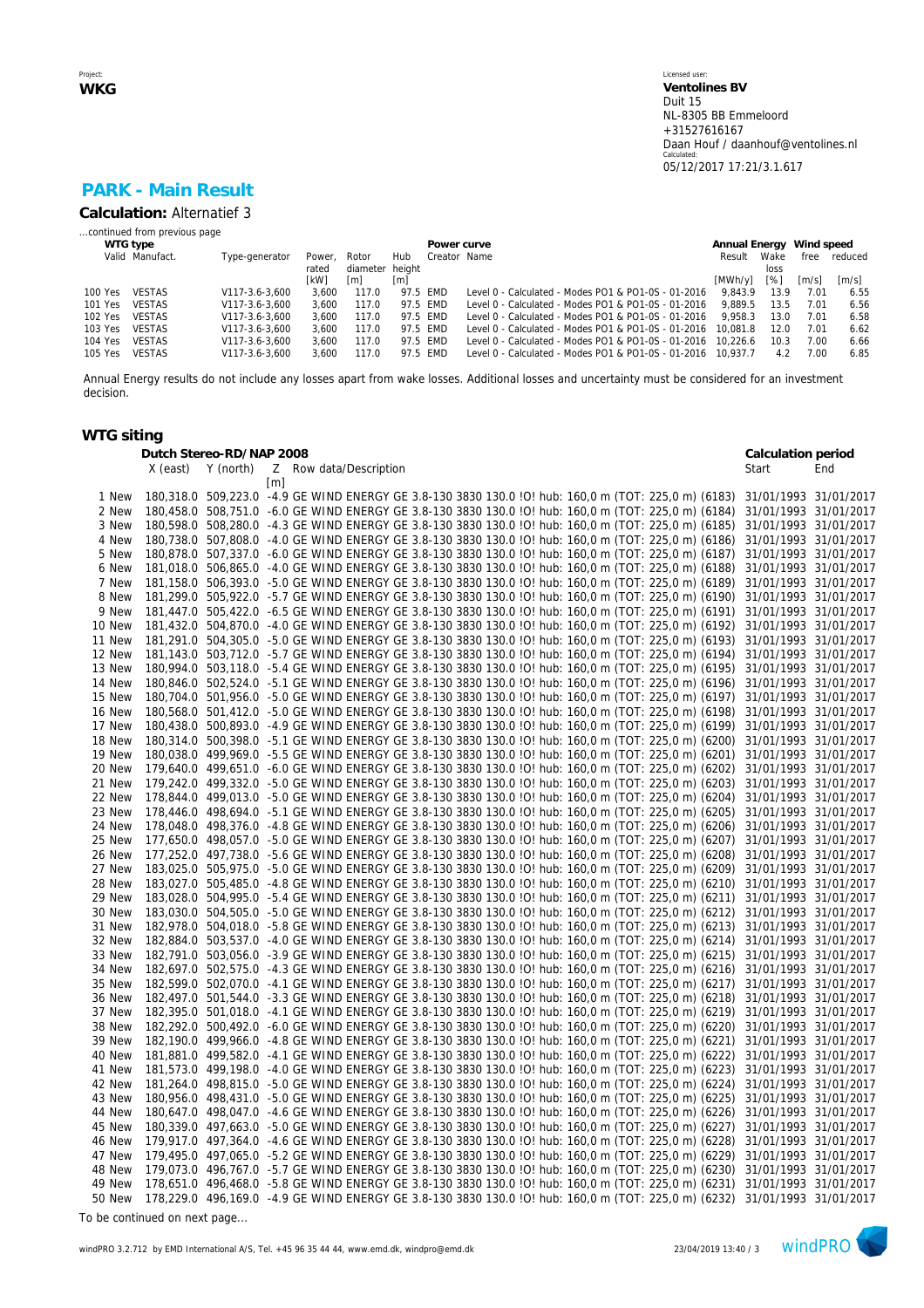# **PARK - Main Result**

**Calculation:** Alternatief 3

#### *...continued from previous page*

|         | WTG type        |                |             |                 |          | Power curve  |                                                              | Annual Energy Wind speed |      |                     |                     |
|---------|-----------------|----------------|-------------|-----------------|----------|--------------|--------------------------------------------------------------|--------------------------|------|---------------------|---------------------|
|         | Valid Manufact. | Type-generator | Power.      | Rotor           | Hub      | Creator Name |                                                              | Result                   | Wake | free                | reduced             |
|         |                 |                | rated       | diameter height |          |              |                                                              |                          | loss |                     |                     |
|         |                 |                | <b>TkW1</b> | [m]             | [m]      |              |                                                              | [MWh/v]                  | [%]  | $\lceil m/s \rceil$ | $\lceil m/s \rceil$ |
| 100 Yes | <b>VESTAS</b>   | V117-3.6-3.600 | 3.600       | 117.0           | 97.5 FMD |              | Level 0 - Calculated - Modes PO1 & PO1-0S - 01-2016          | 9.843.9                  | 13.9 | 7.01                | 6.55                |
| 101 Yes | VESTAS          | V117-3.6-3.600 | 3.600       | 117.0           | 97.5 FMD |              | Level 0 - Calculated - Modes PO1 & PO1-0S - 01-2016          | 9.889.5                  | 13.5 | 7.01                | 6.56                |
| 102 Yes | VESTAS          | V117-3.6-3.600 | 3.600       | 117.0           | 97.5 EMD |              | Level 0 - Calculated - Modes PO1 & PO1-0S - 01-2016          | 9.958.3                  | 13.0 | 7.01                | 6.58                |
| 103 Yes | VESTAS          | V117-3.6-3.600 | 3.600       | 117.0           | 97.5 FMD |              | Level 0 - Calculated - Modes PO1 & PO1-0S - 01-2016          | 10.081.8                 | 12.0 | 7.01                | 6.62                |
| 104 Yes | <b>VESTAS</b>   | V117-3.6-3.600 | 3.600       | 117.0           | 97.5 FMD |              | Level 0 - Calculated - Modes PO1 & PO1-0S - 01-2016 10.226.6 |                          | 10.3 | 7.00                | 6.66                |
| 105 Yes | <b>VESTAS</b>   | V117-3.6-3.600 | 3.600       | 117.0           |          | 97.5 FMD     | Level 0 - Calculated - Modes PO1 & PO1-0S - 01-2016 10.937.7 |                          | 4.2  | 7.00                | 6.85                |
|         |                 |                |             |                 |          |              |                                                              |                          |      |                     |                     |

Annual Energy results do not include any losses apart from wake losses. Additional losses and uncertainty must be considered for an investment decision.

### **WTG siting**

|                  | Dutch Stereo-RD/NAP 2008 |           |                                                                                                                                                                                                              | Calculation period                             |     |
|------------------|--------------------------|-----------|--------------------------------------------------------------------------------------------------------------------------------------------------------------------------------------------------------------|------------------------------------------------|-----|
|                  | X (east)                 | Y (north) | Z Row data/Description                                                                                                                                                                                       | Start                                          | End |
|                  |                          |           | m                                                                                                                                                                                                            |                                                |     |
| 1 New            |                          |           | 180,318.0 509,223.0 -4.9 GE WIND ENERGY GE 3.8-130 3830 130.0 !O! hub: 160,0 m (TOT: 225,0 m) (6183)                                                                                                         | 31/01/1993 31/01/2017                          |     |
| 2 New            |                          |           | 180,458.0 508,751.0 -6.0 GE WIND ENERGY GE 3.8-130 3830 130.0 !O! hub: 160,0 m (TOT: 225,0 m) (6184)                                                                                                         | 31/01/1993 31/01/2017                          |     |
| 3 New            |                          |           | 180,598.0 508,280.0 -4.3 GE WIND ENERGY GE 3.8-130 3830 130.0 !O! hub: 160,0 m (TOT: 225,0 m) (6185)                                                                                                         | 31/01/1993 31/01/2017                          |     |
| 4 New            |                          |           | 180,738.0 507,808.0 -4.0 GE WIND ENERGY GE 3.8-130 3830 130.0 !O! hub: 160,0 m (TOT: 225,0 m) (6186)                                                                                                         | 31/01/1993 31/01/2017                          |     |
| 5 New            |                          |           | 180,878.0 507,337.0 -6.0 GE WIND ENERGY GE 3.8-130 3830 130.0 !O! hub: 160,0 m (TOT: 225,0 m) (6187)                                                                                                         | 31/01/1993 31/01/2017                          |     |
| 6 New            |                          |           | 181,018.0 506,865.0 -4.0 GE WIND ENERGY GE 3.8-130 3830 130.0 !O! hub: 160,0 m (TOT: 225,0 m) (6188)                                                                                                         | 31/01/1993 31/01/2017                          |     |
| 7 New            |                          |           | 181,158.0 506,393.0 -5.0 GE WIND ENERGY GE 3.8-130 3830 130.0 !O! hub: 160,0 m (TOT: 225,0 m) (6189)                                                                                                         | 31/01/1993 31/01/2017                          |     |
| 8 New            |                          |           | 181,299.0 505,922.0 -5.7 GE WIND ENERGY GE 3.8-130 3830 130.0 !O! hub: 160,0 m (TOT: 225,0 m) (6190)                                                                                                         | 31/01/1993 31/01/2017                          |     |
| 9 New            |                          |           | 181,447.0 505,422.0 -6.5 GE WIND ENERGY GE 3.8-130 3830 130.0 !O! hub: 160,0 m (TOT: 225,0 m) (6191)                                                                                                         | 31/01/1993 31/01/2017                          |     |
| 10 New           |                          |           | 181,432.0 504,870.0 -4.0 GE WIND ENERGY GE 3.8-130 3830 130.0 !O! hub: 160,0 m (TOT: 225,0 m) (6192)                                                                                                         | 31/01/1993 31/01/2017                          |     |
| 11 New           |                          |           | 181,291.0 504,305.0 -5.0 GE WIND ENERGY GE 3.8-130 3830 130.0 !O! hub: 160,0 m (TOT: 225,0 m) (6193)                                                                                                         | 31/01/1993 31/01/2017                          |     |
| 12 New           |                          |           | 181,143.0 503,712.0 -5.7 GE WIND ENERGY GE 3.8-130 3830 130.0 !O! hub: 160,0 m (TOT: 225,0 m) (6194)                                                                                                         | 31/01/1993 31/01/2017                          |     |
| 13 New           |                          |           | 180,994.0 503,118.0 -5.4 GE WIND ENERGY GE 3.8-130 3830 130.0 !O! hub: 160,0 m (TOT: 225,0 m) (6195)                                                                                                         | 31/01/1993 31/01/2017                          |     |
| 14 New           |                          |           | 180,846.0 502,524.0 -5.1 GE WIND ENERGY GE 3.8-130 3830 130.0 !O! hub: 160,0 m (TOT: 225,0 m) (6196)                                                                                                         | 31/01/1993 31/01/2017                          |     |
|                  |                          |           | 180,704.0 501,956.0 -5.0 GE WIND ENERGY GE 3.8-130 3830 130.0 !O! hub: 160,0 m (TOT: 225,0 m) (6197)                                                                                                         | 31/01/1993 31/01/2017                          |     |
| 15 New           |                          |           |                                                                                                                                                                                                              |                                                |     |
| 16 New           |                          |           | 180,568.0 501,412.0 -5.0 GE WIND ENERGY GE 3.8-130 3830 130.0 !O! hub: 160,0 m (TOT: 225,0 m) (6198)                                                                                                         | 31/01/1993 31/01/2017                          |     |
| 17 New           |                          |           | 180,438.0 500,893.0 -4.9 GE WIND ENERGY GE 3.8-130 3830 130.0 !O! hub: 160,0 m (TOT: 225,0 m) (6199)                                                                                                         | 31/01/1993 31/01/2017                          |     |
| 18 New           |                          |           | 180,314.0 500,398.0 -5.1 GE WIND ENERGY GE 3.8-130 3830 130.0 !O! hub: 160,0 m (TOT: 225,0 m) (6200)                                                                                                         | 31/01/1993 31/01/2017                          |     |
| 19 New           |                          |           | 180,038.0 499,969.0 -5.5 GE WIND ENERGY GE 3.8-130 3830 130.0 !O! hub: 160,0 m (TOT: 225,0 m) (6201)<br>179,640.0 499,651.0 -6.0 GE WIND ENERGY GE 3.8-130 3830 130.0 !O! hub: 160,0 m (TOT: 225,0 m) (6202) | 31/01/1993 31/01/2017                          |     |
| 20 New           |                          |           |                                                                                                                                                                                                              | 31/01/1993 31/01/2017                          |     |
| 21 New           |                          |           | 179,242.0 499,332.0 -5.0 GE WIND ENERGY GE 3.8-130 3830 130.0 !O! hub: 160,0 m (TOT: 225,0 m) (6203)                                                                                                         | 31/01/1993 31/01/2017                          |     |
| 22 New           |                          |           | 178,844.0 499,013.0 -5.0 GE WIND ENERGY GE 3.8-130 3830 130.0 !O! hub: 160,0 m (TOT: 225,0 m) (6204)                                                                                                         | 31/01/1993 31/01/2017                          |     |
| 23 New           |                          |           | 178,446.0 498,694.0 -5.1 GE WIND ENERGY GE 3.8-130 3830 130.0 !O! hub: 160,0 m (TOT: 225,0 m) (6205)<br>178,048.0 498,376.0 -4.8 GE WIND ENERGY GE 3.8-130 3830 130.0 !O! hub: 160,0 m (TOT: 225,0 m) (6206) | 31/01/1993 31/01/2017                          |     |
| 24 New<br>25 New |                          |           | 177,650.0 498,057.0 -5.0 GE WIND ENERGY GE 3.8-130 3830 130.0 !O! hub: 160,0 m (TOT: 225,0 m) (6207)                                                                                                         | 31/01/1993 31/01/2017<br>31/01/1993 31/01/2017 |     |
| 26 New           |                          |           | 177,252.0 497,738.0 -5.6 GE WIND ENERGY GE 3.8-130 3830 130.0 !O! hub: 160,0 m (TOT: 225,0 m) (6208)                                                                                                         | 31/01/1993 31/01/2017                          |     |
| 27 New           |                          |           | 183,025.0 505,975.0 -5.0 GE WIND ENERGY GE 3.8-130 3830 130.0 !O! hub: 160,0 m (TOT: 225,0 m) (6209)                                                                                                         | 31/01/1993 31/01/2017                          |     |
| 28 New           |                          |           | 183,027.0 505,485.0 -4.8 GE WIND ENERGY GE 3.8-130 3830 130.0 !O! hub: 160,0 m (TOT: 225,0 m) (6210)                                                                                                         | 31/01/1993 31/01/2017                          |     |
| 29 New           |                          |           | 183,028.0 504,995.0 -5.4 GE WIND ENERGY GE 3.8-130 3830 130.0 !O! hub: 160,0 m (TOT: 225,0 m) (6211)                                                                                                         | 31/01/1993 31/01/2017                          |     |
| 30 New           |                          |           | 183,030.0 504,505.0 -5.0 GE WIND ENERGY GE 3.8-130 3830 130.0 !O! hub: 160,0 m (TOT: 225,0 m) (6212)                                                                                                         | 31/01/1993 31/01/2017                          |     |
| 31 New           |                          |           | 182,978.0 504,018.0 -5.8 GE WIND ENERGY GE 3.8-130 3830 130.0 !O! hub: 160,0 m (TOT: 225,0 m) (6213)                                                                                                         | 31/01/1993 31/01/2017                          |     |
| 32 New           |                          |           | 182,884.0 503,537.0 -4.0 GE WIND ENERGY GE 3.8-130 3830 130.0 !O! hub: 160,0 m (TOT: 225,0 m) (6214)                                                                                                         | 31/01/1993 31/01/2017                          |     |
| 33 New           |                          |           | 182,791.0 503,056.0 -3.9 GE WIND ENERGY GE 3.8-130 3830 130.0 !O! hub: 160,0 m (TOT: 225,0 m) (6215)                                                                                                         | 31/01/1993 31/01/2017                          |     |
| 34 New           |                          |           | 182,697.0 502,575.0 -4.3 GE WIND ENERGY GE 3.8-130 3830 130.0 !O! hub: 160,0 m (TOT: 225,0 m) (6216)                                                                                                         | 31/01/1993 31/01/2017                          |     |
| 35 New           |                          |           | 182,599.0 502,070.0 -4.1 GE WIND ENERGY GE 3.8-130 3830 130.0 !O! hub: 160,0 m (TOT: 225,0 m) (6217)                                                                                                         | 31/01/1993 31/01/2017                          |     |
| 36 New           |                          |           | 182,497.0 501,544.0 -3.3 GE WIND ENERGY GE 3.8-130 3830 130.0 !O! hub: 160,0 m (TOT: 225,0 m) (6218)                                                                                                         | 31/01/1993 31/01/2017                          |     |
| 37 New           |                          |           | 182,395.0 501,018.0 -4.1 GE WIND ENERGY GE 3.8-130 3830 130.0 !O! hub: 160,0 m (TOT: 225,0 m) (6219)                                                                                                         | 31/01/1993 31/01/2017                          |     |
| 38 New           |                          |           | 182,292.0 500,492.0 -6.0 GE WIND ENERGY GE 3.8-130 3830 130.0 !O! hub: 160,0 m (TOT: 225,0 m) (6220)                                                                                                         | 31/01/1993 31/01/2017                          |     |
| 39 New           |                          |           | 182,190.0 499,966.0 -4.8 GE WIND ENERGY GE 3.8-130 3830 130.0 !O! hub: 160,0 m (TOT: 225,0 m) (6221)                                                                                                         | 31/01/1993 31/01/2017                          |     |
| 40 New           |                          |           | 181,881.0 499,582.0 -4.1 GE WIND ENERGY GE 3.8-130 3830 130.0 !O! hub: 160,0 m (TOT: 225,0 m) (6222)                                                                                                         | 31/01/1993 31/01/2017                          |     |
| 41 New           |                          |           | 181,573.0 499,198.0 -4.0 GE WIND ENERGY GE 3.8-130 3830 130.0 !O! hub: 160,0 m (TOT: 225,0 m) (6223)                                                                                                         | 31/01/1993 31/01/2017                          |     |
| 42 New           |                          |           | 181,264.0 498,815.0 -5.0 GE WIND ENERGY GE 3.8-130 3830 130.0 !O! hub: 160,0 m (TOT: 225,0 m) (6224)                                                                                                         | 31/01/1993 31/01/2017                          |     |
| 43 New           |                          |           | 180,956.0 498,431.0 -5.0 GE WIND ENERGY GE 3.8-130 3830 130.0 !O! hub: 160,0 m (TOT: 225,0 m) (6225)                                                                                                         | 31/01/1993 31/01/2017                          |     |
| 44 New           |                          |           | 180,647.0 498,047.0 -4.6 GE WIND ENERGY GE 3.8-130 3830 130.0 !O! hub: 160,0 m (TOT: 225,0 m) (6226)                                                                                                         | 31/01/1993 31/01/2017                          |     |
| 45 New           |                          |           | 180,339.0 497,663.0 -5.0 GE WIND ENERGY GE 3.8-130 3830 130.0 !O! hub: 160,0 m (TOT: 225,0 m) (6227)                                                                                                         | 31/01/1993 31/01/2017                          |     |
| 46 New           |                          |           | 179,917.0 497,364.0 -4.6 GE WIND ENERGY GE 3.8-130 3830 130.0 !O! hub: 160,0 m (TOT: 225,0 m) (6228)                                                                                                         | 31/01/1993 31/01/2017                          |     |
| 47 New           |                          |           | 179,495.0 497,065.0 -5.2 GE WIND ENERGY GE 3.8-130 3830 130.0 !O! hub: 160,0 m (TOT: 225,0 m) (6229)                                                                                                         | 31/01/1993 31/01/2017                          |     |
| 48 New           |                          |           | 179,073.0 496,767.0 -5.7 GE WIND ENERGY GE 3.8-130 3830 130.0 !O! hub: 160,0 m (TOT: 225,0 m) (6230)                                                                                                         | 31/01/1993 31/01/2017                          |     |
| 49 New           |                          |           | 178,651.0 496,468.0 -5.8 GE WIND ENERGY GE 3.8-130 3830 130.0 !O! hub: 160,0 m (TOT: 225,0 m) (6231)                                                                                                         | 31/01/1993 31/01/2017                          |     |
| 50 New           |                          |           | 178,229.0 496,169.0 -4.9 GE WIND ENERGY GE 3.8-130 3830 130.0 !O! hub: 160,0 m (TOT: 225,0 m) (6232) 31/01/1993 31/01/2017                                                                                   |                                                |     |

*To be continued on next page...*